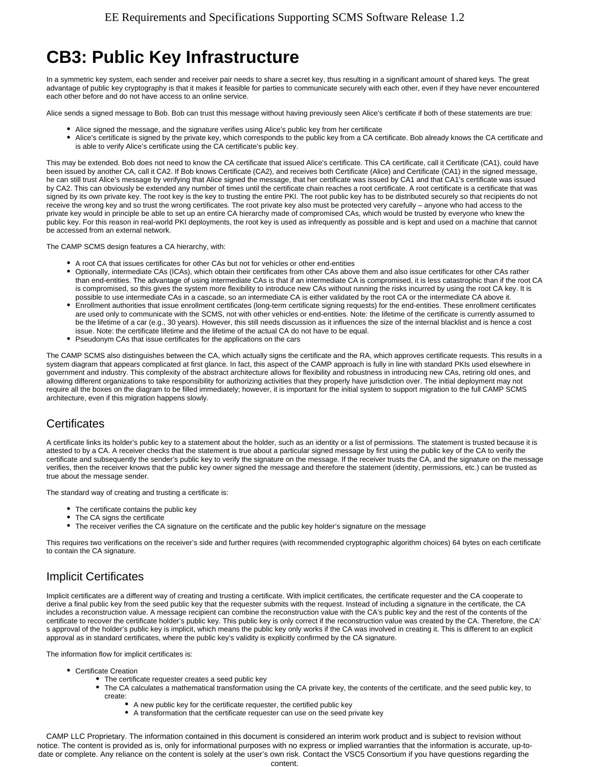# **CB3: Public Key Infrastructure**

In a symmetric key system, each sender and receiver pair needs to share a secret key, thus resulting in a significant amount of shared keys. The great advantage of public key cryptography is that it makes it feasible for parties to communicate securely with each other, even if they have never encountered each other before and do not have access to an online service.

Alice sends a signed message to Bob. Bob can trust this message without having previously seen Alice's certificate if both of these statements are true:

- Alice signed the message, and the signature verifies using Alice's public key from her certificate
- Alice's certificate is signed by the private key, which corresponds to the public key from a CA certificate. Bob already knows the CA certificate and is able to verify Alice's certificate using the CA certificate's public key.

This may be extended. Bob does not need to know the CA certificate that issued Alice's certificate. This CA certificate, call it Certificate (CA1), could have been issued by another CA, call it CA2. If Bob knows Certificate (CA2), and receives both Certificate (Alice) and Certificate (CA1) in the signed message, he can still trust Alice's message by verifying that Alice signed the message, that her certificate was issued by CA1 and that CA1's certificate was issued by CA2. This can obviously be extended any number of times until the certificate chain reaches a root certificate. A root certificate is a certificate that was signed by its own private key. The root key is the key to trusting the entire PKI. The root public key has to be distributed securely so that recipients do not receive the wrong key and so trust the wrong certificates. The root private key also must be protected very carefully – anyone who had access to the private key would in principle be able to set up an entire CA hierarchy made of compromised CAs, which would be trusted by everyone who knew the public key. For this reason in real-world PKI deployments, the root key is used as infrequently as possible and is kept and used on a machine that cannot be accessed from an external network.

The CAMP SCMS design features a CA hierarchy, with:

- A root CA that issues certificates for other CAs but not for vehicles or other end-entities
- Optionally, intermediate CAs (ICAs), which obtain their certificates from other CAs above them and also issue certificates for other CAs rather than end-entities. The advantage of using intermediate CAs is that if an intermediate CA is compromised, it is less catastrophic than if the root CA is compromised, so this gives the system more flexibility to introduce new CAs without running the risks incurred by using the root CA key. It is possible to use intermediate CAs in a cascade, so an intermediate CA is either validated by the root CA or the intermediate CA above it.
- Enrollment authorities that issue enrollment certificates (long-term certificate signing requests) for the end-entities. These enrollment certificates are used only to communicate with the SCMS, not with other vehicles or end-entities. Note: the lifetime of the certificate is currently assumed to be the lifetime of a car (e.g., 30 years). However, this still needs discussion as it influences the size of the internal blacklist and is hence a cost issue. Note: the certificate lifetime and the lifetime of the actual CA do not have to be equal.
- Pseudonym CAs that issue certificates for the applications on the cars

The CAMP SCMS also distinguishes between the CA, which actually signs the certificate and the RA, which approves certificate requests. This results in a system diagram that appears complicated at first glance. In fact, this aspect of the CAMP approach is fully in line with standard PKIs used elsewhere in government and industry. This complexity of the abstract architecture allows for flexibility and robustness in introducing new CAs, retiring old ones, and allowing different organizations to take responsibility for authorizing activities that they properly have jurisdiction over. The initial deployment may not require all the boxes on the diagram to be filled immediately; however, it is important for the initial system to support migration to the full CAMP SCMS architecture, even if this migration happens slowly.

## **Certificates**

A certificate links its holder's public key to a statement about the holder, such as an identity or a list of permissions. The statement is trusted because it is attested to by a CA. A receiver checks that the statement is true about a particular signed message by first using the public key of the CA to verify the certificate and subsequently the sender's public key to verify the signature on the message. If the receiver trusts the CA, and the signature on the message verifies, then the receiver knows that the public key owner signed the message and therefore the statement (identity, permissions, etc.) can be trusted as true about the message sender.

The standard way of creating and trusting a certificate is:

- The certificate contains the public key
- The CA signs the certificate
- The receiver verifies the CA signature on the certificate and the public key holder's signature on the message

This requires two verifications on the receiver's side and further requires (with recommended cryptographic algorithm choices) 64 bytes on each certificate to contain the CA signature.

## Implicit Certificates

Implicit certificates are a different way of creating and trusting a certificate. With implicit certificates, the certificate requester and the CA cooperate to derive a final public key from the seed public key that the requester submits with the request. Instead of including a signature in the certificate, the CA includes a reconstruction value. A message recipient can combine the reconstruction value with the CA's public key and the rest of the contents of the certificate to recover the certificate holder's public key. This public key is only correct if the reconstruction value was created by the CA. Therefore, the CA' s approval of the holder's public key is implicit, which means the public key only works if the CA was involved in creating it. This is different to an explicit approval as in standard certificates, where the public key's validity is explicitly confirmed by the CA signature.

The information flow for implicit certificates is:

- Certificate Creation
	- The certificate requester creates a seed public key
	- The CA calculates a mathematical transformation using the CA private key, the contents of the certificate, and the seed public key, to create:
		- $\bullet$ A new public key for the certificate requester, the certified public key
		- $\bullet$ A transformation that the certificate requester can use on the seed private key

CAMP LLC Proprietary. The information contained in this document is considered an interim work product and is subject to revision without notice. The content is provided as is, only for informational purposes with no express or implied warranties that the information is accurate, up-todate or complete. Any reliance on the content is solely at the user's own risk. Contact the VSC5 Consortium if you have questions regarding the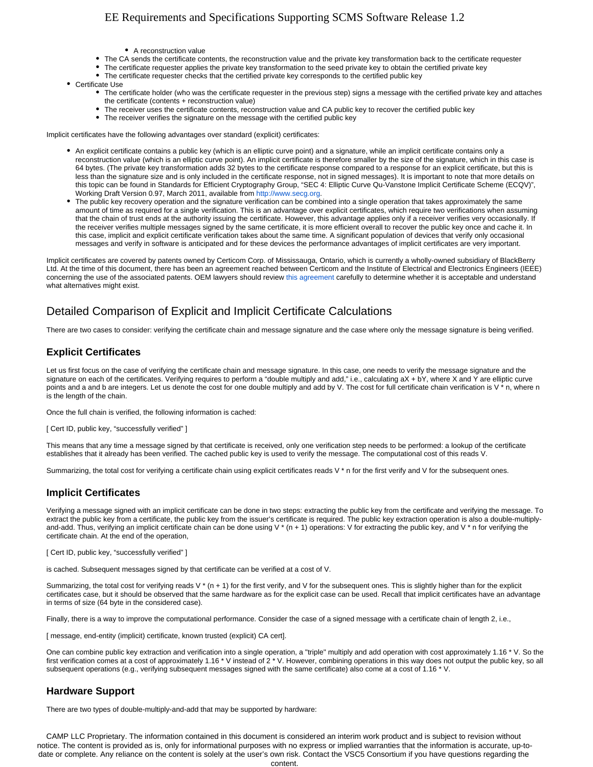## EE Requirements and Specifications Supporting SCMS Software Release 1.2

- A reconstruction value
- The CA sends the certificate contents, the reconstruction value and the private key transformation back to the certificate requester
- The certificate requester applies the private key transformation to the seed private key to obtain the certified private key
- The certificate requester checks that the certified private key corresponds to the certified public key
- Certificate Use
	- The certificate holder (who was the certificate requester in the previous step) signs a message with the certified private key and attaches the certificate (contents + reconstruction value)
		- The receiver uses the certificate contents, reconstruction value and CA public key to recover the certified public key
		- The receiver verifies the signature on the message with the certified public key

Implicit certificates have the following advantages over standard (explicit) certificates:

- An explicit certificate contains a public key (which is an elliptic curve point) and a signature, while an implicit certificate contains only a reconstruction value (which is an elliptic curve point). An implicit certificate is therefore smaller by the size of the signature, which in this case is 64 bytes. (The private key transformation adds 32 bytes to the certificate response compared to a response for an explicit certificate, but this is less than the signature size and is only included in the certificate response, not in signed messages). It is important to note that more details on this topic can be found in Standards for Efficient Cryptography Group, "SEC 4: Elliptic Curve Qu-Vanstone Implicit Certificate Scheme (ECQV)", Working Draft Version 0.97, March 2011, available from [http://www.secg.org.](http://www.secg.org)
- The public key recovery operation and the signature verification can be combined into a single operation that takes approximately the same amount of time as required for a single verification. This is an advantage over explicit certificates, which require two verifications when assuming that the chain of trust ends at the authority issuing the certificate. However, this advantage applies only if a receiver verifies very occasionally. If the receiver verifies multiple messages signed by the same certificate, it is more efficient overall to recover the public key once and cache it. In this case, implicit and explicit certificate verification takes about the same time. A significant population of devices that verify only occasional messages and verify in software is anticipated and for these devices the performance advantages of implicit certificates are very important.

Implicit certificates are covered by patents owned by Certicom Corp. of Mississauga, Ontario, which is currently a wholly-owned subsidiary of BlackBerry Ltd. At the time of this document, there has been an agreement reached between Certicom and the Institute of Electrical and Electronics Engineers (IEEE) concerning the use of the associated patents. OEM lawyers should review [this agreement](https://standards.ieee.org/about/sasb/patcom/loa-1609_2-certicom-22dec2010.pdf) carefully to determine whether it is acceptable and understand what alternatives might exist.

## Detailed Comparison of Explicit and Implicit Certificate Calculations

There are two cases to consider: verifying the certificate chain and message signature and the case where only the message signature is being verified.

### **Explicit Certificates**

Let us first focus on the case of verifying the certificate chain and message signature. In this case, one needs to verify the message signature and the signature on each of the certificates. Verifying requires to perform a "double multiply and add," i.e., calculating aX + bY, where X and Y are elliptic curve points and a and b are integers. Let us denote the cost for one double multiply and add by V. The cost for full certificate chain verification is V \* n, where n is the length of the chain.

Once the full chain is verified, the following information is cached:

[ Cert ID, public key, "successfully verified" ]

This means that any time a message signed by that certificate is received, only one verification step needs to be performed: a lookup of the certificate establishes that it already has been verified. The cached public key is used to verify the message. The computational cost of this reads V.

Summarizing, the total cost for verifying a certificate chain using explicit certificates reads  $V^*$  n for the first verify and  $V$  for the subsequent ones.

### **Implicit Certificates**

Verifying a message signed with an implicit certificate can be done in two steps: extracting the public key from the certificate and verifying the message. To extract the public key from a certificate, the public key from the issuer's certificate is required. The public key extraction operation is also a double-multiplyand-add. Thus, verifying an implicit certificate chain can be done using V  $*(n + 1)$  operations: V for extracting the public key, and V  $*$  n for verifying the certificate chain. At the end of the operation,

[ Cert ID, public key, "successfully verified" ]

is cached. Subsequent messages signed by that certificate can be verified at a cost of V.

Summarizing, the total cost for verifying reads V  $*$  (n + 1) for the first verify, and V for the subsequent ones. This is slightly higher than for the explicit certificates case, but it should be observed that the same hardware as for the explicit case can be used. Recall that implicit certificates have an advantage in terms of size (64 byte in the considered case).

Finally, there is a way to improve the computational performance. Consider the case of a signed message with a certificate chain of length 2, i.e.,

[ message, end-entity (implicit) certificate, known trusted (explicit) CA cert].

One can combine public key extraction and verification into a single operation, a "triple" multiply and add operation with cost approximately 1.16 \* V. So the first verification comes at a cost of approximately 1.16 \* V instead of 2 \* V. However, combining operations in this way does not output the public key, so all subsequent operations (e.g., verifying subsequent messages signed with the same certificate) also come at a cost of 1.16 \* V.

#### **Hardware Support**

There are two types of double-multiply-and-add that may be supported by hardware:

CAMP LLC Proprietary. The information contained in this document is considered an interim work product and is subject to revision without notice. The content is provided as is, only for informational purposes with no express or implied warranties that the information is accurate, up-todate or complete. Any reliance on the content is solely at the user's own risk. Contact the VSC5 Consortium if you have questions regarding the